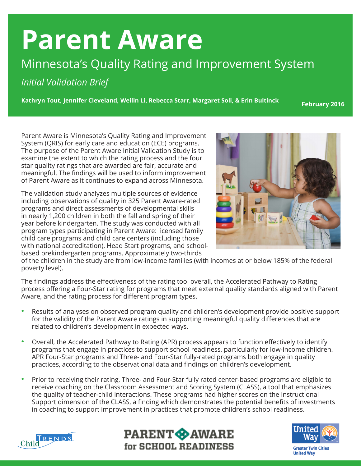## **Parent Aware**

## Minnesota's Quality Rating and Improvement System

*Initial Validation Brief*

**Kathryn Tout, Jennifer Cleveland, Weilin Li, Rebecca Starr, Margaret Soli, & Erin Bultinck**

**February 2016**

Parent Aware is Minnesota's Quality Rating and Improvement System (QRIS) for early care and education (ECE) programs. The purpose of the Parent Aware Initial Validation Study is to examine the extent to which the rating process and the four star quality ratings that are awarded are fair, accurate and meaningful. The findings will be used to inform improvement of Parent Aware as it continues to expand across Minnesota.

The validation study analyzes multiple sources of evidence including observations of quality in 325 Parent Aware-rated programs and direct assessments of developmental skills in nearly 1,200 children in both the fall and spring of their year before kindergarten. The study was conducted with all program types participating in Parent Aware: licensed family child care programs and child care centers (including those with national accreditation), Head Start programs, and schoolbased prekindergarten programs. Approximately two-thirds



of the children in the study are from low-income families (with incomes at or below 185% of the federal poverty level).

The findings address the effectiveness of the rating tool overall, the Accelerated Pathway to Rating process offering a Four-Star rating for programs that meet external quality standards aligned with Parent Aware, and the rating process for different program types.

- Results of analyses on observed program quality and children's development provide positive support for the validity of the Parent Aware ratings in supporting meaningful quality differences that are related to children's development in expected ways.
- Overall, the Accelerated Pathway to Rating (APR) process appears to function effectively to identify programs that engage in practices to support school readiness, particularly for low-income children. APR Four-Star programs and Three- and Four-Star fully-rated programs both engage in quality practices, according to the observational data and findings on children's development.
- Prior to receiving their rating, Three- and Four-Star fully rated center-based programs are eligible to receive coaching on the Classroom Assessment and Scoring System (CLASS), a tool that emphasizes the quality of teacher-child interactions. These programs had higher scores on the Instructional Support dimension of the CLASS, a finding which demonstrates the potential benefits of investments in coaching to support improvement in practices that promote children's school readiness.







**United Wav**